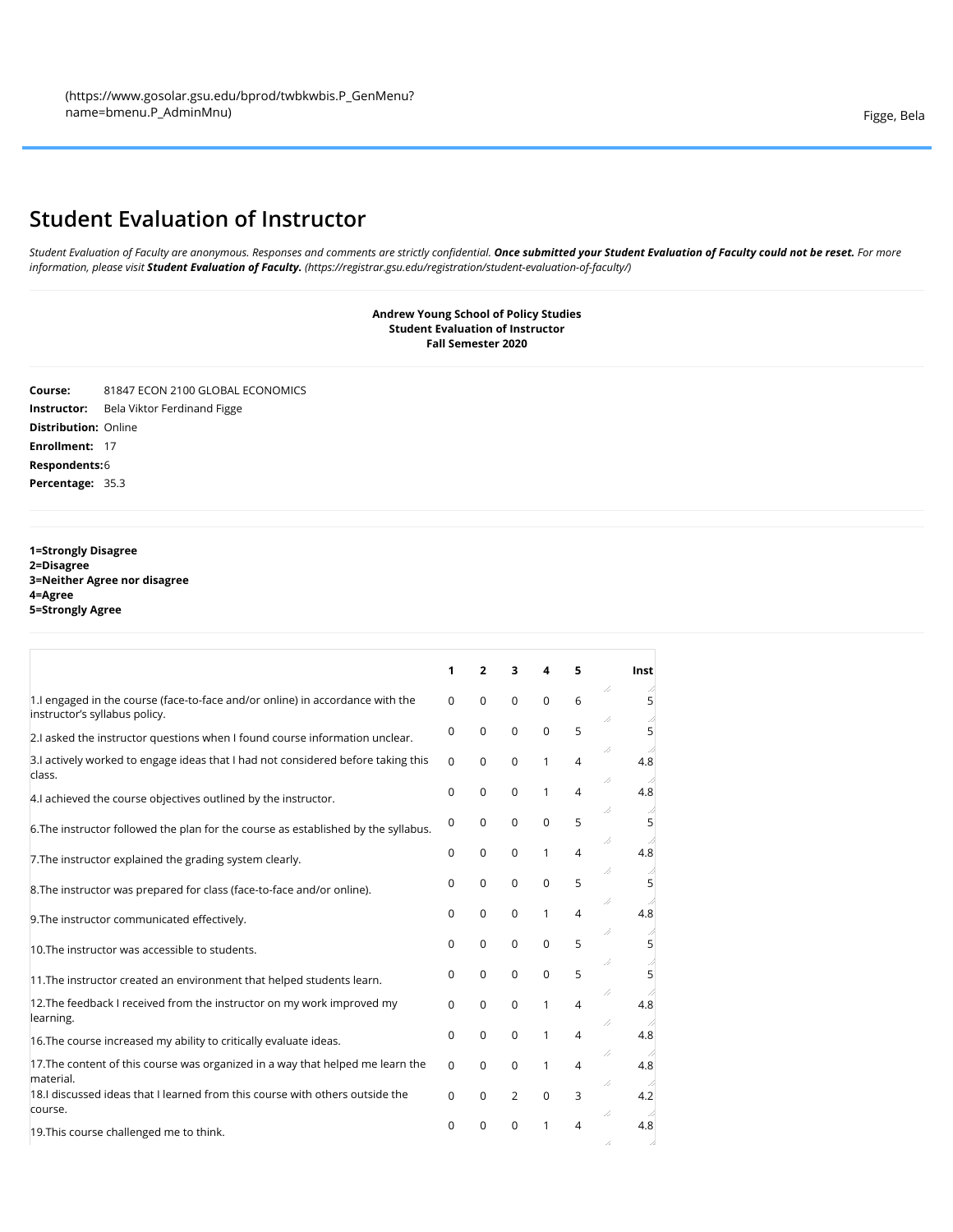## **Student Evaluation of Instructor**

*Student Evaluation of Faculty are anonymous. Responses and comments are strictly confidential. Once submitted your Student Evaluation of Faculty could not be reset. For more information, please visit Student Evaluation of Faculty. [\(https://registrar.gsu.edu/registration/student-evaluation-of-faculty/\)](https://registrar.gsu.edu/registration/student-evaluation-of-faculty/)*

> **Andrew Young School of Policy Studies Student Evaluation of Instructor Fall Semester 2020**

**Course:** 81847 ECON 2100 GLOBAL ECONOMICS **Instructor:** Bela Viktor Ferdinand Figge **Distribution:** Online **Enrollment:** 17 **Respondents:**6 **Percentage:** 35.3

**1=Strongly Disagree 2=Disagree 3=Neither Agree nor disagree 4=Agree 5=Strongly Agree**

|                                                                                                                | 1        | $\overline{2}$ | 3              | 4            | 5              | Inst            |   |
|----------------------------------------------------------------------------------------------------------------|----------|----------------|----------------|--------------|----------------|-----------------|---|
| 1. lengaged in the course (face-to-face and/or online) in accordance with the<br>instructor's syllabus policy. | $\Omega$ | $\mathbf 0$    | $\mathbf 0$    | $\mathbf 0$  | 6              | /,<br>//        | 5 |
| 2.I asked the instructor questions when I found course information unclear.                                    | 0        | $\Omega$       | $\Omega$       | $\mathbf 0$  | 5              |                 | 5 |
| 3.I actively worked to engage ideas that I had not considered before taking this<br>class.                     | $\Omega$ | $\Omega$       | 0              | 1            | 4              | /,<br>4.8<br>// |   |
| 4.I achieved the course objectives outlined by the instructor.                                                 | $\Omega$ | $\mathbf 0$    | 0              | $\mathbf{1}$ | 4              | 4.8             |   |
| 6. The instructor followed the plan for the course as established by the syllabus.                             | 0        | $\mathbf 0$    | $\Omega$       | $\mathbf 0$  | 5              | //<br>/,        | 5 |
| 7. The instructor explained the grading system clearly.                                                        | 0        | 0              | 0              | 1            | $\overline{4}$ | 4.8             |   |
| 8. The instructor was prepared for class (face-to-face and/or online).                                         | 0        | $\mathbf 0$    | 0              | $\mathbf 0$  | 5              | /,<br>5<br>//   |   |
| 9. The instructor communicated effectively.                                                                    | 0        | $\mathbf 0$    | 0              | 1            | 4              | 4.8             |   |
| 10. The instructor was accessible to students.                                                                 | $\Omega$ | $\Omega$       | 0              | $\mathbf 0$  | 5              | //<br>/,        | 5 |
| 11. The instructor created an environment that helped students learn.                                          | 0        | $\Omega$       | $\Omega$       | $\mathbf 0$  | 5              |                 | 5 |
| 12. The feedback I received from the instructor on my work improved my<br>learning.                            | 0        | $\Omega$       | 0              | 1            | 4              | /,<br>4.8<br>/, |   |
| 16. The course increased my ability to critically evaluate ideas.                                              | 0        | $\mathbf 0$    | $\mathbf 0$    | 1            | 4              | 4.8             |   |
| 17. The content of this course was organized in a way that helped me learn the<br>material.                    | $\Omega$ | 0              | $\mathbf 0$    | 1            | 4              | /,<br>4.8<br>// |   |
| 18.I discussed ideas that I learned from this course with others outside the<br>course.                        | $\Omega$ | $\Omega$       | $\overline{2}$ | $\mathbf 0$  | 3              | 4.2<br>/,       |   |
| 19. This course challenged me to think.                                                                        | 0        | 0              | 0              | 1            | $\overline{A}$ | 4.8             |   |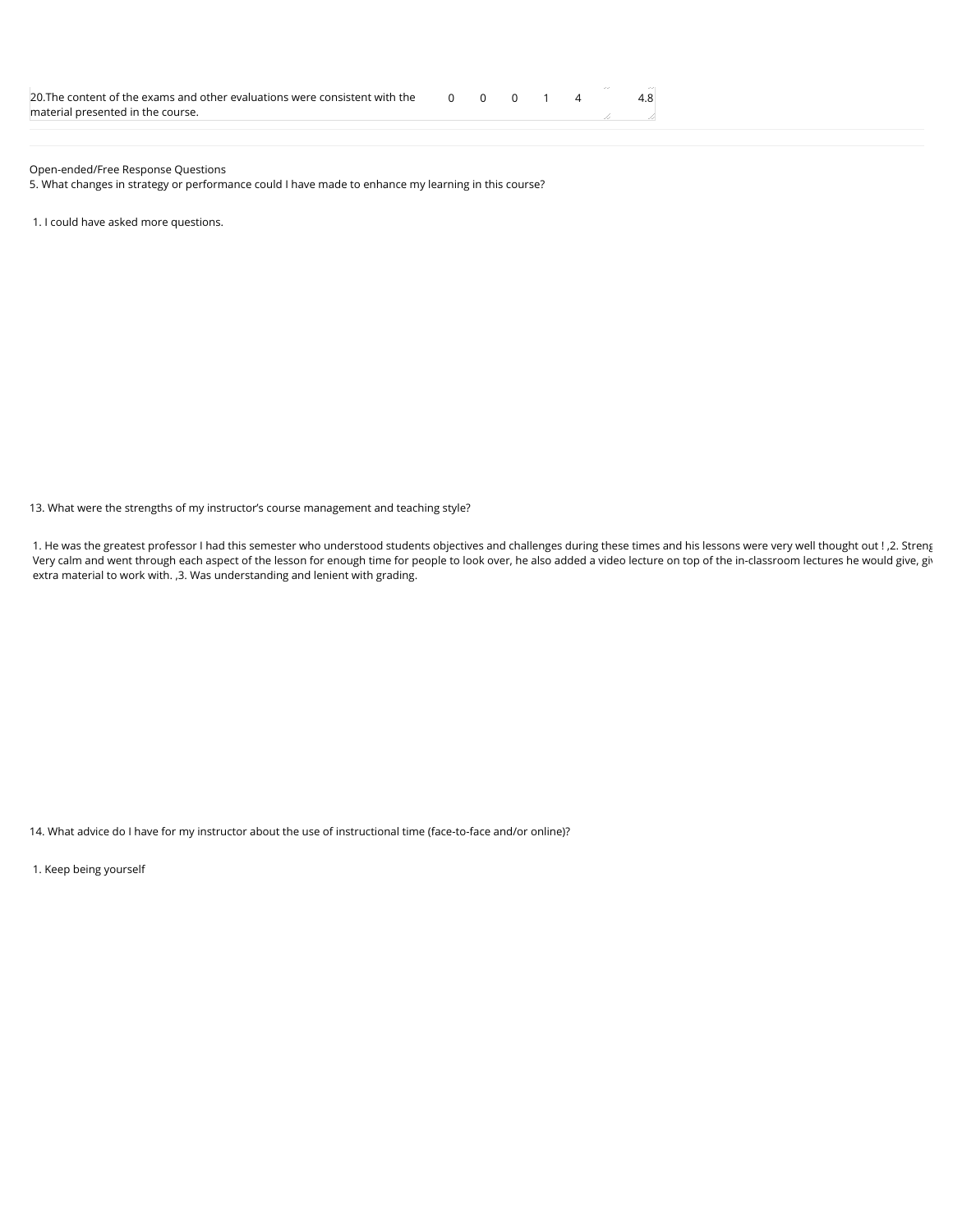| 20. The content of the exams and other evaluations were consistent with the $\overline{0}$ $\overline{0}$ $\overline{0}$ $\overline{1}$ $\overline{4}$ |  |  |  |  |
|--------------------------------------------------------------------------------------------------------------------------------------------------------|--|--|--|--|
| material presented in the course.                                                                                                                      |  |  |  |  |

Open-ended/Free Response Questions

5. What changes in strategy or performance could I have made to enhance my learning in this course?

1. I could have asked more questions.

13. What were the strengths of my instructor's course management and teaching style?

1. He was the greatest professor I had this semester who understood students objectives and challenges during these times and his lessons were very well thought out ! ,2. Streng Very calm and went through each aspect of the lesson for enough time for people to look over, he also added a video lecture on top of the in-classroom lectures he would give, giv extra material to work with. ,3. Was understanding and lenient with grading.

14. What advice do I have for my instructor about the use of instructional time (face-to-face and/or online)?

1. Keep being yourself